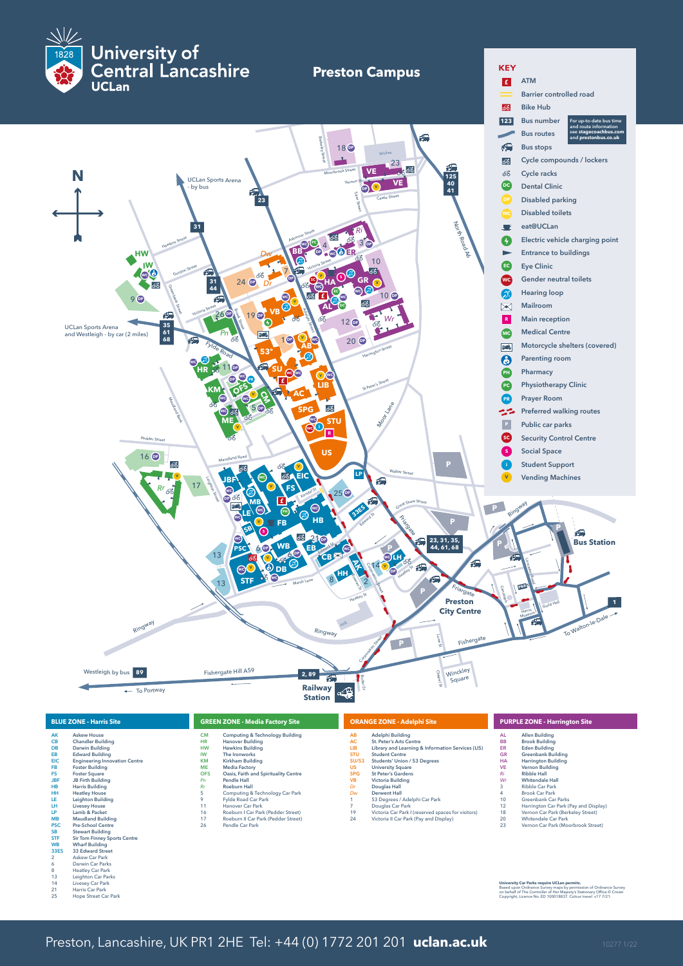

| <b>BLUE ZONE - Harris Site</b>                                                                                                                                                                                                                                                                                                                                                                                                                                                                                                                                                                                                                                                                                                                                                           |                                                                                                                            | <b>GREEN ZONE - Media Factory Site</b>                                                                                                                                                                                                                                                                                                                                                                                    |                                                                                                        | <b>ORANGE ZONE - Adelphi Site</b>                                                                                                                                                                                                                                                                                                                                                                                                                 |                                                                                                                   | <b>PURPLE ZONE - Harrington Site</b>                                                                                                                                                                                                                                                                                                                                                                                                   |  |
|------------------------------------------------------------------------------------------------------------------------------------------------------------------------------------------------------------------------------------------------------------------------------------------------------------------------------------------------------------------------------------------------------------------------------------------------------------------------------------------------------------------------------------------------------------------------------------------------------------------------------------------------------------------------------------------------------------------------------------------------------------------------------------------|----------------------------------------------------------------------------------------------------------------------------|---------------------------------------------------------------------------------------------------------------------------------------------------------------------------------------------------------------------------------------------------------------------------------------------------------------------------------------------------------------------------------------------------------------------------|--------------------------------------------------------------------------------------------------------|---------------------------------------------------------------------------------------------------------------------------------------------------------------------------------------------------------------------------------------------------------------------------------------------------------------------------------------------------------------------------------------------------------------------------------------------------|-------------------------------------------------------------------------------------------------------------------|----------------------------------------------------------------------------------------------------------------------------------------------------------------------------------------------------------------------------------------------------------------------------------------------------------------------------------------------------------------------------------------------------------------------------------------|--|
| <b>Askew House</b><br>AK<br><b>CB</b><br><b>Chandler Building</b><br>DB<br>Darwin Building<br>EB<br><b>Edward Building</b><br><b>EIC</b><br><b>Engineering Innovation Centre</b><br><b>FB</b><br><b>Foster Building</b><br><b>FS</b><br><b>Foster Square</b><br><b>JBF</b><br><b>JB Firth Building</b><br><b>HB</b><br><b>Harris Building</b><br>HH<br><b>Heatley House</b><br><b>Leighton Building</b><br>LE<br>LH<br><b>Livesey House</b><br>Lamb & Packet<br>LP<br><b>Maudland Building</b><br><b>MB</b><br><b>Pre-School Centre</b><br><b>PSC</b><br><b>SB</b><br><b>Stewart Building</b><br><b>STF</b><br><b>Sir Tom Finney Sports Centre</b><br><b>WB</b><br><b>Wharf Building</b><br>33 Edward Street<br>33ES<br><b>Askew Car Park</b><br>$\overline{2}$<br>Darwin Car Parks<br>6 | <b>CM</b><br><b>HR</b><br><b>HW</b><br>IW<br><b>KM</b><br><b>ME</b><br><b>OFS</b><br>Pn<br>Rr<br>9<br>11<br>16<br>17<br>26 | <b>Computing &amp; Technology Building</b><br><b>Hanover Building</b><br><b>Hawkins Building</b><br>The Ironworks<br>Kirkham Building<br><b>Media Factory</b><br>Oasis, Faith and Spirituality Centre<br>Pendle Hall<br><b>Roeburn Hall</b><br>Computing & Technology Car Park<br>Fylde Road Car Park<br>Hanover Car Park<br>Roeburn I Car Park (Pedder Street)<br>Roeburn II Car Park (Pedder Street)<br>Pendle Car Park | AB<br>AC<br>LIB<br><b>STU</b><br>SU/53<br><b>US</b><br><b>SPG</b><br><b>VB</b><br>Dr<br>Dw<br>19<br>24 | Adelphi Building<br><b>St. Peter's Arts Centre</b><br>Library and Learning & Information Services (LIS)<br><b>Student Centre</b><br>Students' Union / 53 Degrees<br><b>University Square</b><br><b>St Peter's Gardens</b><br><b>Victoria Building</b><br>Douglas Hall<br><b>Derwent Hall</b><br>53 Degrees / Adelphi Car Park<br>Douglas Car Park<br>Victoria Car Park I (reserved spaces for visitors)<br>Victoria II Car Park (Pay and Display) | AL<br><b>BB</b><br>ER.<br><b>GR</b><br><b>HA</b><br><b>VE</b><br>Ri<br>Wr<br>3<br>4<br>10<br>12<br>18<br>20<br>23 | <b>Allen Building</b><br><b>Brook Building</b><br><b>Eden Building</b><br><b>Greenbank Building</b><br><b>Harrington Building</b><br><b>Vernon Building</b><br><b>Ribble Hall</b><br><b>Whitendale Hall</b><br><b>Ribble Car Park</b><br><b>Brook Car Park</b><br>Greenbank Car Parks<br>Harrington Car Park (Pay and Display<br>Vernon Car Park (Berkeley Street)<br><b>Whitendale Car Park</b><br>Vernon Car Park (Moorbrook Street) |  |

University Car Parks require UCLan permits.<br>Based upon Ordnance Survey maps by permission of Ordnance Survey<br>on behalf of The Controller of Her Majesty's Stationary Office © Crown<br>Copyright, Licence No. ED 100018837. Colou

Darwin Car Parks Heatley Car Park Leighton Car Parks Livesey Car Park Harris Car Park Hope Street Car Park